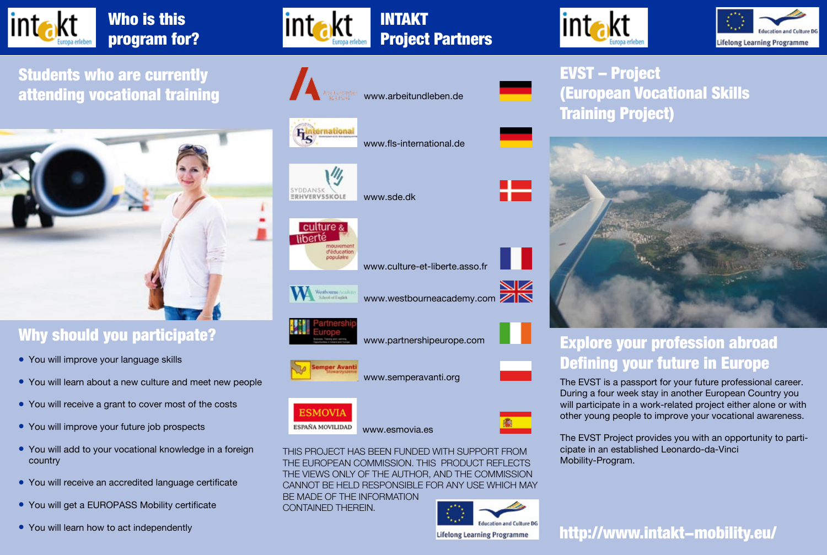

Who is this program for?

Students who are currently attending vocational training www.arbeitundleben.de



#### Why should you participate?

- You will improve your language skills
- You will learn about a new culture and meet new people
- You will receive a grant to cover most of the costs
- You will improve your future job prospects
- You will add to your vocational knowledge in a foreign country
- You will receive an accredited language certificate
- You will get a EUROPASS Mobility certificate
- You will learn how to act independently



**intakt** 



EVST – Project (European Vocational Skills Training Project)



## Explore your profession abroad Defining your future in Europe

The EVST is a passport for your future professional career. During a four week stay in another European Country you will participate in a work-related project either alone or with other young people to improve your vocational awareness.

The EVST Project provides you with an opportunity to participate in an established Leonardo-da-Vinci Mobility-Program.

THE EUROPEAN COMMISSION. THIS PRODUCT REFLECTS THE VIEWS ONLY OF THE AUTHOR, AND THE COMMISSION CANNOT BE HELD RESPONSIBLE FOR ANY USE WHICH MAY BE MADE OF THE INFORMATION



http://www.intakt-mobility.eu/



www.fls-international.de



www.sde.dk



www.culture-et-liberte.asso.fr



www.partnershipeurope.com

www.semperavanti.org

www.westbourneacademy.com



CONTAINED THEREIN.

**ESMOVIA** ESPAÑA MOVILIDAD



NИ

www.esmovia.es THIS PROJECT HAS BEEN FUNDED WITH SUPPORT FROM